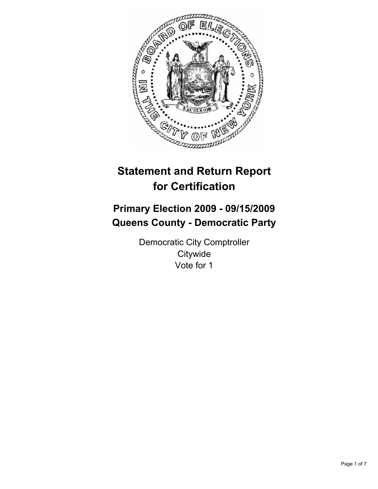

# **Statement and Return Report for Certification**

## **Primary Election 2009 - 09/15/2009 Queens County - Democratic Party**

Democratic City Comptroller **Citywide** Vote for 1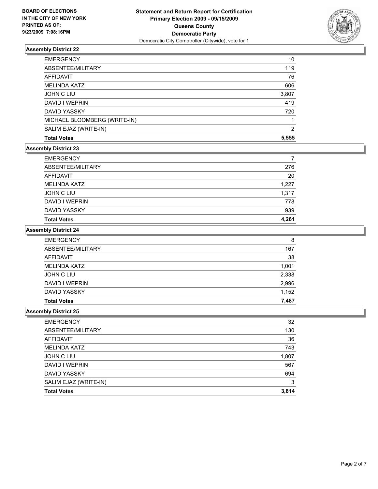

| <b>Total Votes</b>           | 5,555 |
|------------------------------|-------|
| SALIM EJAZ (WRITE-IN)        | 2     |
| MICHAEL BLOOMBERG (WRITE-IN) |       |
| <b>DAVID YASSKY</b>          | 720   |
| DAVID I WEPRIN               | 419   |
| <b>JOHN C LIU</b>            | 3,807 |
| <b>MELINDA KATZ</b>          | 606   |
| AFFIDAVIT                    | 76    |
| ABSENTEE/MILITARY            | 119   |
| <b>EMERGENCY</b>             | 10    |

## **Assembly District 23**

| <b>EMERGENCY</b>    | 7     |
|---------------------|-------|
| ABSENTEE/MILITARY   | 276   |
| AFFIDAVIT           | 20    |
| MELINDA KATZ        | 1,227 |
| JOHN C LIU          | 1,317 |
| DAVID I WEPRIN      | 778   |
| <b>DAVID YASSKY</b> | 939   |
| <b>Total Votes</b>  | 4.261 |

#### **Assembly District 24**

| <b>EMERGENCY</b>    | 8     |
|---------------------|-------|
| ABSENTEE/MILITARY   | 167   |
| AFFIDAVIT           | 38    |
| <b>MELINDA KATZ</b> | 1,001 |
| JOHN C LIU          | 2,338 |
| DAVID I WEPRIN      | 2,996 |
| <b>DAVID YASSKY</b> | 1,152 |
| <b>Total Votes</b>  | 7,487 |

| <b>EMERGENCY</b>      | 32    |
|-----------------------|-------|
| ABSENTEE/MILITARY     | 130   |
| AFFIDAVIT             | 36    |
| <b>MELINDA KATZ</b>   | 743   |
| JOHN C LIU            | 1,807 |
| DAVID I WEPRIN        | 567   |
| <b>DAVID YASSKY</b>   | 694   |
| SALIM EJAZ (WRITE-IN) | 3     |
| <b>Total Votes</b>    | 3,814 |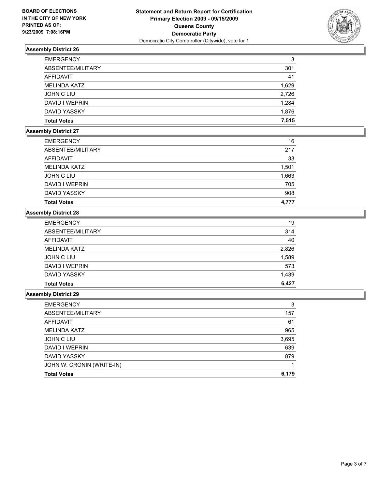

| <b>EMERGENCY</b>    | 3     |
|---------------------|-------|
| ABSENTEE/MILITARY   | 301   |
| AFFIDAVIT           | 41    |
| <b>MELINDA KATZ</b> | 1,629 |
| JOHN C LIU          | 2,726 |
| DAVID I WEPRIN      | 1,284 |
| DAVID YASSKY        | 1,876 |
| <b>Total Votes</b>  | 7.515 |

## **Assembly District 27**

| <b>EMERGENCY</b>    | 16    |
|---------------------|-------|
| ABSENTEE/MILITARY   | 217   |
| <b>AFFIDAVIT</b>    | 33    |
| <b>MELINDA KATZ</b> | 1,501 |
| <b>JOHN C LIU</b>   | 1,663 |
| DAVID I WEPRIN      | 705   |
| <b>DAVID YASSKY</b> | 908   |
| <b>Total Votes</b>  | 4.777 |

## **Assembly District 28**

| <b>Total Votes</b>  | 6,427 |
|---------------------|-------|
| <b>DAVID YASSKY</b> | 1,439 |
| DAVID I WEPRIN      | 573   |
| JOHN C LIU          | 1,589 |
| <b>MELINDA KATZ</b> | 2,826 |
| AFFIDAVIT           | 40    |
| ABSENTEE/MILITARY   | 314   |
| <b>EMERGENCY</b>    | 19    |

| <b>EMERGENCY</b>          | 3     |
|---------------------------|-------|
| ABSENTEE/MILITARY         | 157   |
| AFFIDAVIT                 | 61    |
| <b>MELINDA KATZ</b>       | 965   |
| JOHN C LIU                | 3,695 |
| DAVID I WEPRIN            | 639   |
| DAVID YASSKY              | 879   |
| JOHN W. CRONIN (WRITE-IN) |       |
| <b>Total Votes</b>        | 6,179 |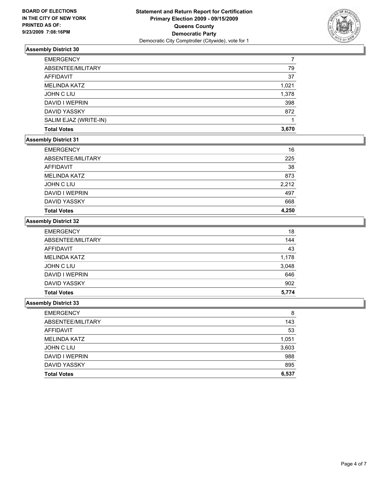

| <b>EMERGENCY</b>      |       |
|-----------------------|-------|
| ABSENTEE/MILITARY     | 79    |
| AFFIDAVIT             | 37    |
| <b>MELINDA KATZ</b>   | 1,021 |
| <b>JOHN C LIU</b>     | 1,378 |
| DAVID I WEPRIN        | 398   |
| <b>DAVID YASSKY</b>   | 872   |
| SALIM EJAZ (WRITE-IN) |       |
| <b>Total Votes</b>    | 3.670 |

#### **Assembly District 31**

| <b>EMERGENCY</b>    | 16    |
|---------------------|-------|
| ABSENTEE/MILITARY   | 225   |
| <b>AFFIDAVIT</b>    | 38    |
| <b>MELINDA KATZ</b> | 873   |
| JOHN C LIU          | 2,212 |
| DAVID I WEPRIN      | 497   |
| <b>DAVID YASSKY</b> | 668   |
| <b>Total Votes</b>  | 4,250 |

#### **Assembly District 32**

|                     | 5,774 |
|---------------------|-------|
| <b>Total Votes</b>  |       |
| <b>DAVID YASSKY</b> | 902   |
| DAVID I WEPRIN      | 646   |
| <b>JOHN C LIU</b>   | 3,048 |
| <b>MELINDA KATZ</b> | 1,178 |
| <b>AFFIDAVIT</b>    | 43    |
| ABSENTEE/MILITARY   | 144   |
| <b>EMERGENCY</b>    | 18    |

| <b>EMERGENCY</b>    | 8     |
|---------------------|-------|
| ABSENTEE/MILITARY   | 143   |
| AFFIDAVIT           | 53    |
| <b>MELINDA KATZ</b> | 1,051 |
| JOHN C LIU          | 3,603 |
| DAVID I WEPRIN      | 988   |
| DAVID YASSKY        | 895   |
| <b>Total Votes</b>  | 6,537 |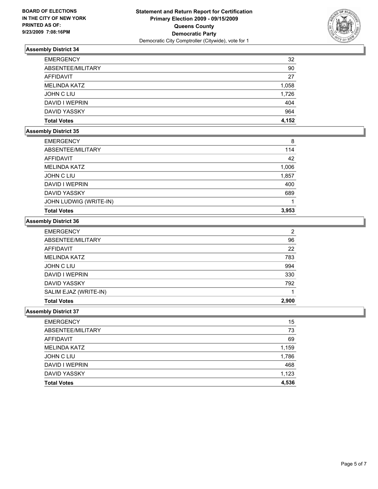

| <b>EMERGENCY</b>    | 32    |
|---------------------|-------|
| ABSENTEE/MILITARY   | 90    |
| AFFIDAVIT           | 27    |
| <b>MELINDA KATZ</b> | 1,058 |
| JOHN C LIU          | 1,726 |
| DAVID I WEPRIN      | 404   |
| DAVID YASSKY        | 964   |
| <b>Total Votes</b>  | 4.152 |

## **Assembly District 35**

| <b>EMERGENCY</b>       | 8     |
|------------------------|-------|
| ABSENTEE/MILITARY      | 114   |
| AFFIDAVIT              | 42    |
| <b>MELINDA KATZ</b>    | 1,006 |
| JOHN C LIU             | 1,857 |
| DAVID I WEPRIN         | 400   |
| <b>DAVID YASSKY</b>    | 689   |
| JOHN LUDWIG (WRITE-IN) |       |
| <b>Total Votes</b>     | 3,953 |

## **Assembly District 36**

| <b>EMERGENCY</b>      | 2     |
|-----------------------|-------|
| ABSENTEE/MILITARY     | 96    |
| AFFIDAVIT             | 22    |
| <b>MELINDA KATZ</b>   | 783   |
| JOHN C LIU            | 994   |
| DAVID I WEPRIN        | 330   |
| DAVID YASSKY          | 792   |
| SALIM EJAZ (WRITE-IN) |       |
| <b>Total Votes</b>    | 2.900 |

| <b>Total Votes</b>  | 4,536 |
|---------------------|-------|
| <b>DAVID YASSKY</b> | 1,123 |
| DAVID I WEPRIN      | 468   |
| <b>JOHN C LIU</b>   | 1,786 |
| <b>MELINDA KATZ</b> | 1,159 |
| <b>AFFIDAVIT</b>    | 69    |
| ABSENTEE/MILITARY   | 73    |
| <b>EMERGENCY</b>    | 15    |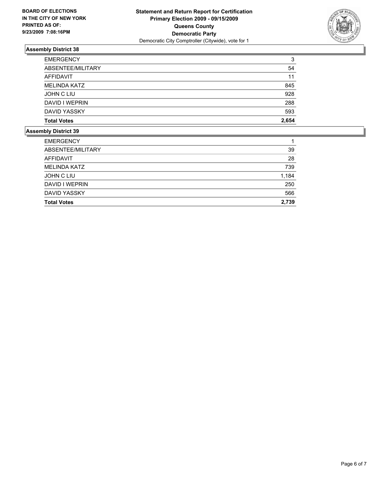

| <b>EMERGENCY</b>    | 3     |
|---------------------|-------|
| ABSENTEE/MILITARY   | 54    |
| AFFIDAVIT           | 11    |
| <b>MELINDA KATZ</b> | 845   |
| JOHN C LIU          | 928   |
| DAVID I WEPRIN      | 288   |
| <b>DAVID YASSKY</b> | 593   |
| <b>Total Votes</b>  | 2,654 |

| <b>Total Votes</b>  | 2,739 |
|---------------------|-------|
| <b>DAVID YASSKY</b> | 566   |
| DAVID I WEPRIN      | 250   |
| JOHN C LIU          | 1,184 |
| <b>MELINDA KATZ</b> | 739   |
| <b>AFFIDAVIT</b>    | 28    |
| ABSENTEE/MILITARY   | 39    |
| <b>EMERGENCY</b>    |       |